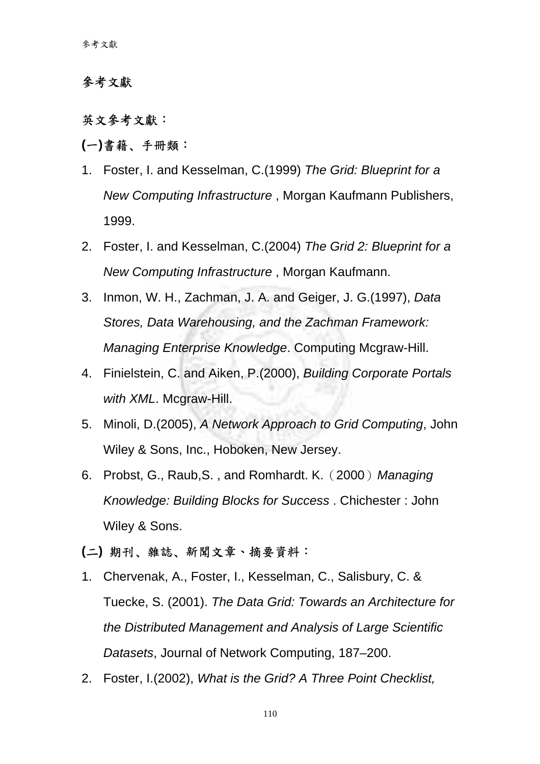# 參考文獻

# 英文參考文獻:

### **(**一**)**書籍﹑手冊類:

- 1. Foster, I. and Kesselman, C.(1999) *The Grid: Blueprint for a New Computing Infrastructure* , Morgan Kaufmann Publishers, 1999.
- 2. Foster, I. and Kesselman, C.(2004) *The Grid 2: Blueprint for a New Computing Infrastructure* , Morgan Kaufmann.
- 3. Inmon, W. H., Zachman, J. A. and Geiger, J. G.(1997), *Data Stores, Data Warehousing, and the Zachman Framework: Managing Enterprise Knowledge*. Computing Mcgraw-Hill.
- 4. Finielstein, C. and Aiken, P.(2000), *Building Corporate Portals with XML*. Mcgraw-Hill.
- 5. Minoli, D.(2005), *A Network Approach to Grid Computing*, John Wiley & Sons, Inc., Hoboken, New Jersey.
- 6. Probst, G., Raub,S. , and Romhardt. K.(2000)*Managing Knowledge: Building Blocks for Success* . Chichester : John Wiley & Sons.

## **(**二**)** 期刊﹑雜誌﹑新聞文章、摘要資料:

- 1. Chervenak, A., Foster, I., Kesselman, C., Salisbury, C. & Tuecke, S. (2001). *The Data Grid: Towards an Architecture for the Distributed Management and Analysis of Large Scientific Datasets*, Journal of Network Computing, 187–200.
- 2. Foster, I.(2002), *What is the Grid? A Three Point Checklist,*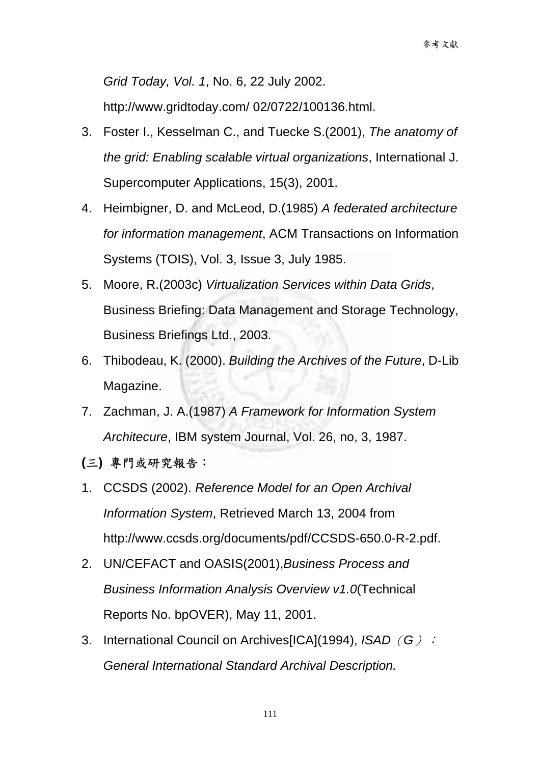*Grid Today, Vol. 1*, No. 6, 22 July 2002. http://www.gridtoday.com/ 02/0722/100136.html.

- 3. Foster I., Kesselman C., and Tuecke S.(2001), *The anatomy of the grid: Enabling scalable virtual organizations*, International J. Supercomputer Applications, 15(3), 2001.
- 4. Heimbigner, D. and McLeod, D.(1985) *A federated architecture for information management*, ACM Transactions on Information Systems (TOIS), Vol. 3, Issue 3, July 1985.
- 5. Moore, R.(2003c) *Virtualization Services within Data Grids*, Business Briefing: Data Management and Storage Technology, Business Briefings Ltd., 2003.
- 6. Thibodeau, K. (2000). *Building the Archives of the Future*, D-Lib Magazine.
- 7. Zachman, J. A.(1987) *A Framework for Information System Architecure*, IBM system Journal, Vol. 26, no, 3, 1987.
- **(**三**)** 專門或研究報告:
- 1. CCSDS (2002). *Reference Model for an Open Archival Information System*, Retrieved March 13, 2004 from http://www.ccsds.org/documents/pdf/CCSDS-650.0-R-2.pdf.
- 2. UN/CEFACT and OASIS(2001),*Business Process and Business Information Analysis Overview v1.0*(Technical Reports No. bpOVER), May 11, 2001.
- 3. International Council on Archives[ICA](1994), *ISAD*(*G*): *General International Standard Archival Description.*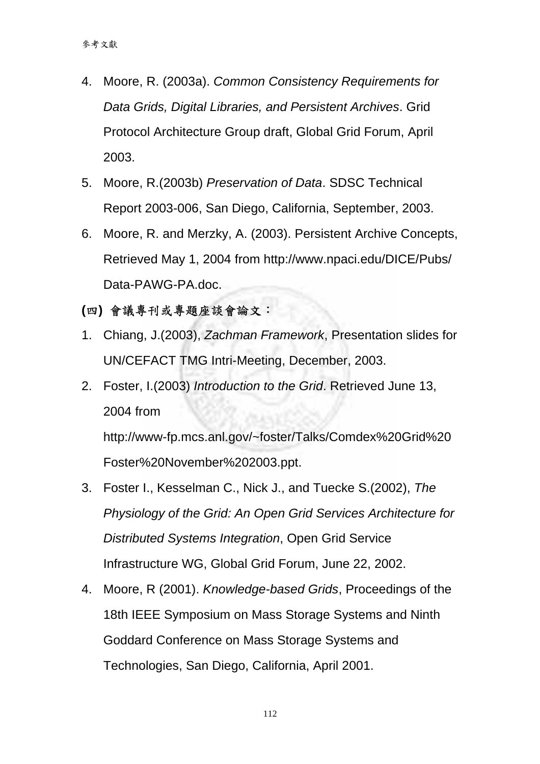- 4. Moore, R. (2003a). *Common Consistency Requirements for Data Grids, Digital Libraries, and Persistent Archives*. Grid Protocol Architecture Group draft, Global Grid Forum, April 2003.
- 5. Moore, R.(2003b) *Preservation of Data*. SDSC Technical Report 2003-006, San Diego, California, September, 2003.
- 6. Moore, R. and Merzky, A. (2003). Persistent Archive Concepts, Retrieved May 1, 2004 from http://www.npaci.edu/DICE/Pubs/ Data-PAWG-PA.doc.
- **(**四**)** 會議專刊或專題座談會論文:
- 1. Chiang, J.(2003), *Zachman Framework*, Presentation slides for UN/CEFACT TMG Intri-Meeting, December, 2003.
- 2. Foster, I.(2003) *Introduction to the Grid*. Retrieved June 13, 2004 from

http://www-fp.mcs.anl.gov/~foster/Talks/Comdex%20Grid%20 Foster%20November%202003.ppt.

- 3. Foster I., Kesselman C., Nick J., and Tuecke S.(2002), *The Physiology of the Grid: An Open Grid Services Architecture for Distributed Systems Integration*, Open Grid Service Infrastructure WG, Global Grid Forum, June 22, 2002.
- 4. Moore, R (2001). *Knowledge-based Grids*, Proceedings of the 18th IEEE Symposium on Mass Storage Systems and Ninth Goddard Conference on Mass Storage Systems and Technologies, San Diego, California, April 2001.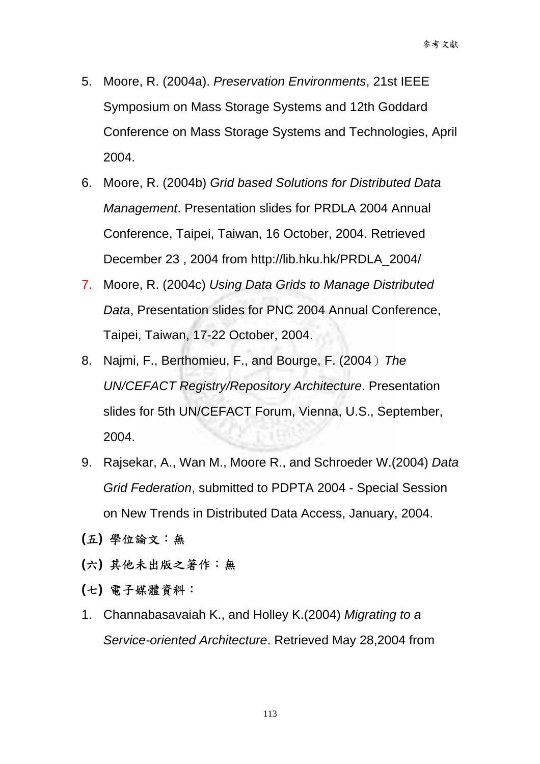- 5. Moore, R. (2004a). *Preservation Environments*, 21st IEEE Symposium on Mass Storage Systems and 12th Goddard Conference on Mass Storage Systems and Technologies, April 2004.
- 6. Moore, R. (2004b) *Grid based Solutions for Distributed Data Management*. Presentation slides for PRDLA 2004 Annual Conference, Taipei, Taiwan, 16 October, 2004. Retrieved December 23 , 2004 from http://lib.hku.hk/PRDLA\_2004/
- 7. Moore, R. (2004c) *Using Data Grids to Manage Distributed Data*, Presentation slides for PNC 2004 Annual Conference, Taipei, Taiwan, 17-22 October, 2004.
- 8. Najmi, F., Berthomieu, F., and Bourge, F. (2004)*The UN/CEFACT Registry/Repository Architecture*. Presentation slides for 5th UN/CEFACT Forum, Vienna, U.S., September, 2004.
- 9. Rajsekar, A., Wan M., Moore R., and Schroeder W.(2004) *Data Grid Federation*, submitted to PDPTA 2004 - Special Session on New Trends in Distributed Data Access, January, 2004.
- **(**五**)** 學位論文:無
- **(**六**)** 其他未出版之著作:無
- **(**七**)** 電子媒體資料:
- 1. Channabasavaiah K., and Holley K.(2004) *Migrating to a Service-oriented Architecture*. Retrieved May 28,2004 from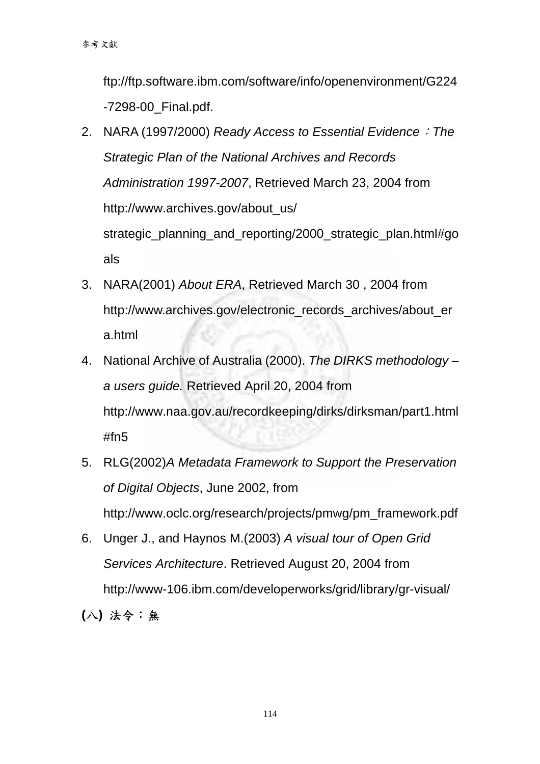ftp://ftp.software.ibm.com/software/info/openenvironment/G224 -7298-00\_Final.pdf.

- 2. NARA (1997/2000) *Ready Access to Essential Evidence*:*The Strategic Plan of the National Archives and Records Administration 1997-2007*, Retrieved March 23, 2004 from http://www.archives.gov/about\_us/ strategic planning and reporting/2000 strategic plan.html#go als
- 3. NARA(2001) *About ERA*, Retrieved March 30 , 2004 from http://www.archives.gov/electronic\_records\_archives/about\_er a.html
- 4. National Archive of Australia (2000). *The DIRKS methodology a users guide.* Retrieved April 20, 2004 from http://www.naa.gov.au/recordkeeping/dirks/dirksman/part1.html #fn5
- 5. RLG(2002)*A Metadata Framework to Support the Preservation of Digital Objects*, June 2002, from http://www.oclc.org/research/projects/pmwg/pm\_framework.pdf
- 6. Unger J., and Haynos M.(2003) *A visual tour of Open Grid Services Architecture*. Retrieved August 20, 2004 from http://www-106.ibm.com/developerworks/grid/library/gr-visual/

**(**八**)** 法令:無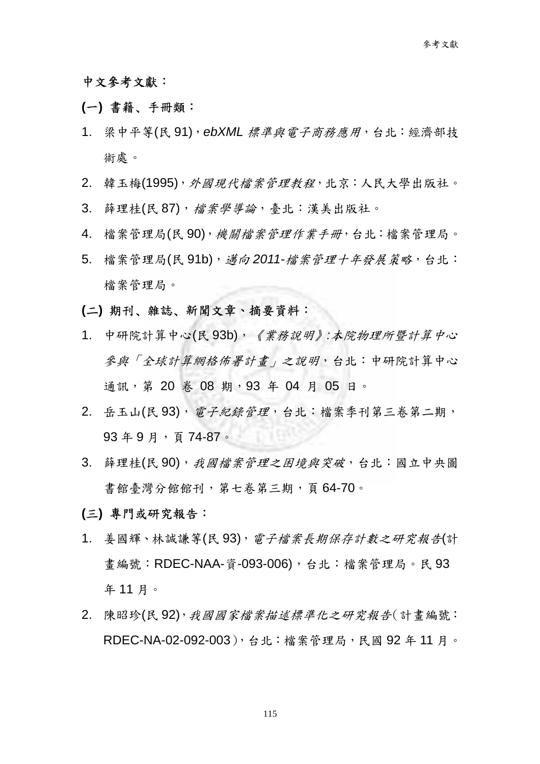#### 中文參考文獻:

#### **(**一**)** 書籍﹑手冊類:

- 1. 梁中平等(民 91),*ebXML* 標準與電子商務應用,台北:經濟部技 術處。
- 2. 韓玉梅(1995), 外國現代檔案管理教程, 北京: 人民大學出版社。
- 3. 薛理桂(民87), 檔案學導論, 臺北:漢美出版社。
- 4. 檔案管理局(民90),機關檔案管理作業手冊,台北:檔案管理局。
- 5. 檔案管理局(民91b), *邁向* 2011-檔案管理十年發展策略, 台北: 檔案管理局。
- **(**二**)** 期刊﹑雜誌﹑新聞文章、摘要資料:
- 1. 中研院計算中心(民 93b),《業務說明》*:*本院物理所暨計算中心 參與「全球計算網格佈署計畫」之說明,台北:中研院計算中心 通訊, 第 20 卷 08 期, 93 年 04 月 05 日。
- 2. 岳玉山(民93), 雷子紀錄管理, 台北:檔案季刊第三卷第二期, 93 年 9 月,頁 74-87。
- 3. 薛理桂(民90),我國檔案管理之困境與突破,台北:國立中央圖 書館臺灣分館館刊,第七卷第三期,頁64-70。
- **(**三**)** 專門或研究報告:
- 1. 姜國輝、林誠謙等(民93), 電子檔案長期保存計數之研究報告(計 書編號: RDEC-NAA-資-093-006), 台北:檔案管理局。民 93 年 11 月。
- 2. 陳昭珍(民92),我國國家檔案描述標準化之研究報告(計書編號: RDEC-NA-02-092-003),台北:檔案管理局,民國 92 年 11 月。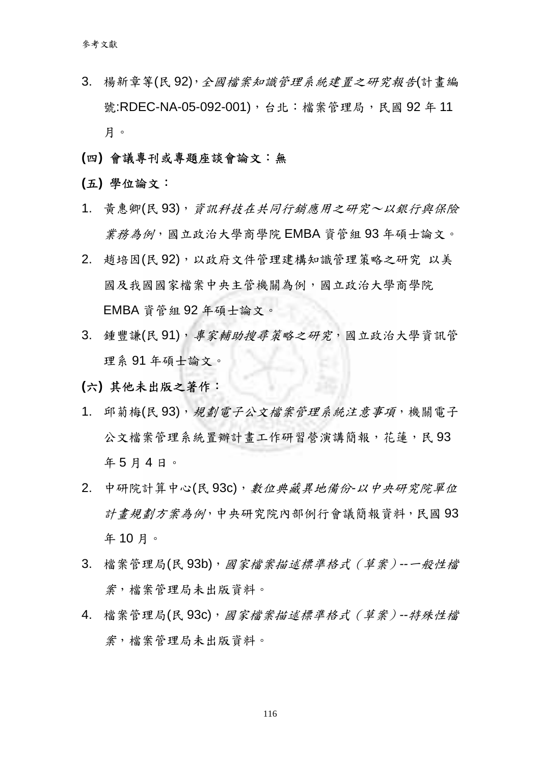- 3. 楊新章等(民92),全國檔案知識管理系統建置之研究報告(計書編 號:RDEC-NA-05-092-001), 台北:檔案管理局, 民國 92年11 月。
- **(**四**)** 會議專刊或專題座談會論文:無
- **(**五**)** 學位論文:
- 1. 黃惠卿(民93),資訊科技在共同行銷應用之研究~以銀行與保險 業務為例,國立政治大學商學院 EMBA 資管組 93 年碩士論文。
- 2. 趙培因(民 92),以政府文件管理建構知識管理策略之研究 以美 國及我國國家檔案中央主管機關為例,國立政治大學商學院 EMBA 資管組 92 年碩士論文。
- 3. 鍾豐謙(民91),專家輔助搜尋策略之研究,國立政治大學資訊管 理系 91 年碩士論文。
- **(**六**)** 其他未出版之著作:
- 1. 邱菊梅(民93),規劃電子公文檔案管理系統注意事項,機關電子 公文檔案管理系統置辦計書工作研習營演講簡報,花蓮,民93 年 5 月 4 日。
- 2. 中研院計算中心(民 93c),數位典藏異地備份*-*以中央研究院單位 計畫規劃方案為例,中央研究院內部例行會議簡報資料,民國 93 年 10 月。
- 3. 檔案管理局(民 93b),國家檔案描述標準格式(草案)*--*一般性檔 案,檔案管理局未出版資料。
- 4. 檔案管理局(民 93c),國家檔案描述標準格式(草案)*--*特殊性檔 案,檔案管理局未出版資料。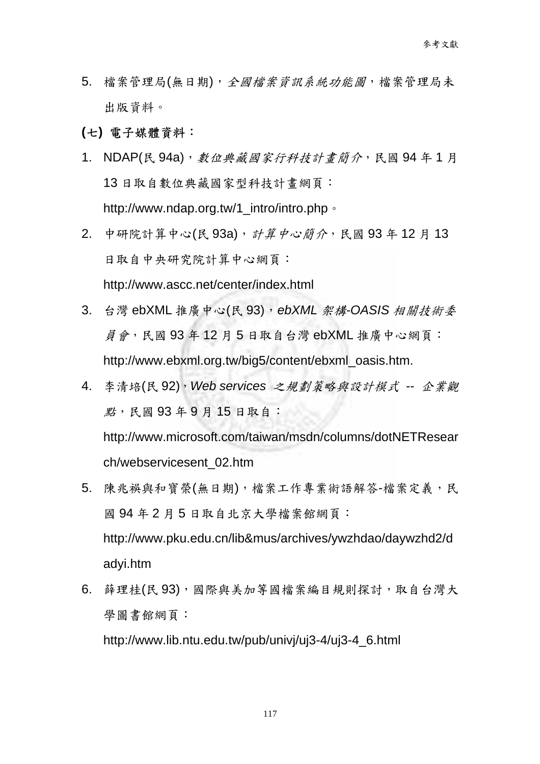- 5. 檔案管理局(無日期),全國檔案資訊系統功能圖,檔案管理局未 出版資料。
- **(**七**)** 電子媒體資料:
- 1. NDAP(民 94a), 數位典藏國家行科技計書簡介, 民國 94年1月 13 日取自數位典藏國家型科技計畫網頁: http://www.ndap.org.tw/1\_intro/intro.php。
- 2. 中研院計算中心(民 93a), 計算中心簡介, 民國 93年 12 月 13 日取自中央研究院計算中心網頁: http://www.ascc.net/center/index.html
- 3. 台灣 ebXML 推廣中心(民 93),*ebXML* 架構*-OASIS* 相關技術委 員會,民國 93 年 12 月 5 日取自台灣 ebXML 推廣中心網頁: http://www.ebxml.org.tw/big5/content/ebxml\_oasis.htm.
- 4. 李清培(民 92),*Web services* 之規劃策略與設計模式 *--* 企業觀 點,民國 93 年 9 月 15 日取自: http://www.microsoft.com/taiwan/msdn/columns/dotNETResear ch/webservicesent\_02.htm
- 5. 陳兆祿與和寶榮(無日期),檔案工作專業術語解答-檔案定義,民 國 94 年 2 月 5 日取自北京大學檔案館網頁: http://www.pku.edu.cn/lib&mus/archives/ywzhdao/daywzhd2/d adyi.htm
- 6. 薛理桂(民93),國際與美加等國檔案編目規則探討,取自台灣大 學圖書館網頁:

http://www.lib.ntu.edu.tw/pub/univj/uj3-4/uj3-4\_6.html